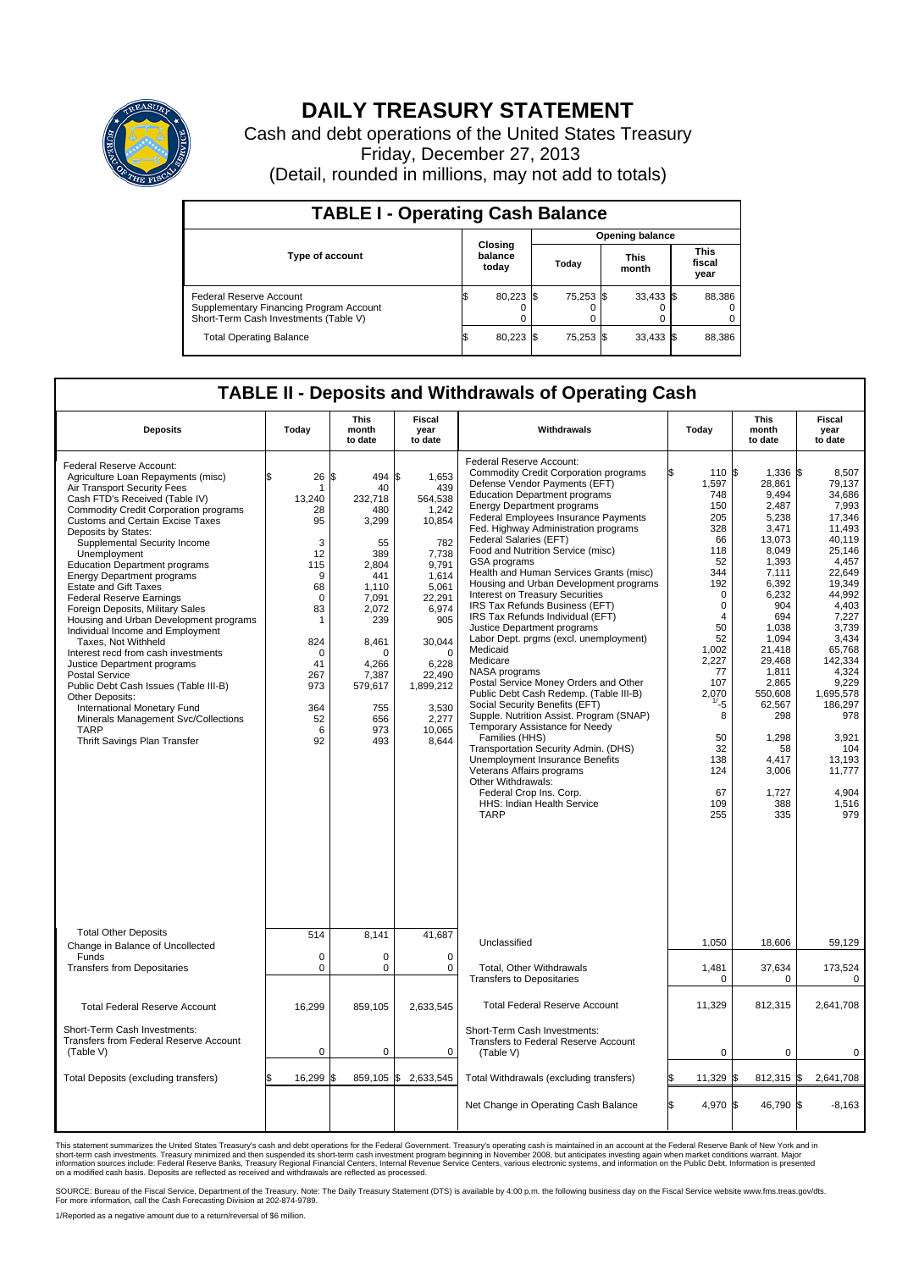

## **DAILY TREASURY STATEMENT**

Cash and debt operations of the United States Treasury Friday, December 27, 2013 (Detail, rounded in millions, may not add to totals)

| <b>TABLE I - Operating Cash Balance</b>                                                                     |  |                             |     |           |  |                      |  |                               |  |  |
|-------------------------------------------------------------------------------------------------------------|--|-----------------------------|-----|-----------|--|----------------------|--|-------------------------------|--|--|
| <b>Opening balance</b>                                                                                      |  |                             |     |           |  |                      |  |                               |  |  |
| <b>Type of account</b>                                                                                      |  | Closing<br>balance<br>today |     | Today     |  | <b>This</b><br>month |  | <b>This</b><br>fiscal<br>year |  |  |
| Federal Reserve Account<br>Supplementary Financing Program Account<br>Short-Term Cash Investments (Table V) |  | 80,223                      | 1\$ | 75,253 \$ |  | $33,433$ \$          |  | 88,386                        |  |  |
| <b>Total Operating Balance</b>                                                                              |  | 80,223                      |     | 75,253 \$ |  | $33,433$ \$          |  | 88,386                        |  |  |

## **TABLE II - Deposits and Withdrawals of Operating Cash**

| <b>Deposits</b>                                                                                                                                                                                                                                                                                                                                                                                                                                                                                                                                                                                                                                                                                                                                                                                                                                                            | Today                                                                                                                                                     | <b>This</b><br>month<br>to date                                                                                                                                                      | Fiscal<br>year<br>to date                                                                                                                                                                                     | <b>Withdrawals</b>                                                                                                                                                                                                                                                                                                                                                                                                                                                                                                                                                                                                                                                                                                                                                                                                                                                                                                                                                                                                                                                                                             | Today                                                                                                                                                                                                                                         | <b>This</b><br>month<br>to date                                                                                                                                                                                                                                            | <b>Fiscal</b><br>year<br>to date                                                                                                                                                                                                                                                                |
|----------------------------------------------------------------------------------------------------------------------------------------------------------------------------------------------------------------------------------------------------------------------------------------------------------------------------------------------------------------------------------------------------------------------------------------------------------------------------------------------------------------------------------------------------------------------------------------------------------------------------------------------------------------------------------------------------------------------------------------------------------------------------------------------------------------------------------------------------------------------------|-----------------------------------------------------------------------------------------------------------------------------------------------------------|--------------------------------------------------------------------------------------------------------------------------------------------------------------------------------------|---------------------------------------------------------------------------------------------------------------------------------------------------------------------------------------------------------------|----------------------------------------------------------------------------------------------------------------------------------------------------------------------------------------------------------------------------------------------------------------------------------------------------------------------------------------------------------------------------------------------------------------------------------------------------------------------------------------------------------------------------------------------------------------------------------------------------------------------------------------------------------------------------------------------------------------------------------------------------------------------------------------------------------------------------------------------------------------------------------------------------------------------------------------------------------------------------------------------------------------------------------------------------------------------------------------------------------------|-----------------------------------------------------------------------------------------------------------------------------------------------------------------------------------------------------------------------------------------------|----------------------------------------------------------------------------------------------------------------------------------------------------------------------------------------------------------------------------------------------------------------------------|-------------------------------------------------------------------------------------------------------------------------------------------------------------------------------------------------------------------------------------------------------------------------------------------------|
| Federal Reserve Account:<br>Agriculture Loan Repayments (misc)<br>Air Transport Security Fees<br>Cash FTD's Received (Table IV)<br><b>Commodity Credit Corporation programs</b><br><b>Customs and Certain Excise Taxes</b><br>Deposits by States:<br>Supplemental Security Income<br>Unemployment<br><b>Education Department programs</b><br><b>Energy Department programs</b><br><b>Estate and Gift Taxes</b><br><b>Federal Reserve Earnings</b><br>Foreign Deposits, Military Sales<br>Housing and Urban Development programs<br>Individual Income and Employment<br>Taxes. Not Withheld<br>Interest recd from cash investments<br>Justice Department programs<br><b>Postal Service</b><br>Public Debt Cash Issues (Table III-B)<br>Other Deposits:<br>International Monetary Fund<br>Minerals Management Svc/Collections<br><b>TARP</b><br>Thrift Savings Plan Transfer | \$<br>26<br>1<br>13,240<br>28<br>95<br>3<br>12<br>115<br>9<br>68<br>$\mathbf 0$<br>83<br>1<br>824<br>$\Omega$<br>41<br>267<br>973<br>364<br>52<br>6<br>92 | 1\$<br>494 \$<br>40<br>232.718<br>480<br>3,299<br>55<br>389<br>2.804<br>441<br>1,110<br>7,091<br>2,072<br>239<br>8,461<br>O<br>4.266<br>7,387<br>579,617<br>755<br>656<br>973<br>493 | 1,653<br>439<br>564,538<br>1,242<br>10,854<br>782<br>7,738<br>9,791<br>1,614<br>5,061<br>22,291<br>6.974<br>905<br>30,044<br>$\mathbf 0$<br>6.228<br>22,490<br>1,899,212<br>3,530<br>2,277<br>10,065<br>8,644 | Federal Reserve Account:<br><b>Commodity Credit Corporation programs</b><br>Defense Vendor Payments (EFT)<br><b>Education Department programs</b><br><b>Energy Department programs</b><br><b>Federal Employees Insurance Payments</b><br>Fed. Highway Administration programs<br>Federal Salaries (EFT)<br>Food and Nutrition Service (misc)<br>GSA programs<br>Health and Human Services Grants (misc)<br>Housing and Urban Development programs<br>Interest on Treasury Securities<br>IRS Tax Refunds Business (EFT)<br>IRS Tax Refunds Individual (EFT)<br>Justice Department programs<br>Labor Dept. prgms (excl. unemployment)<br>Medicaid<br>Medicare<br>NASA programs<br>Postal Service Money Orders and Other<br>Public Debt Cash Redemp. (Table III-B)<br>Social Security Benefits (EFT)<br>Supple. Nutrition Assist. Program (SNAP)<br>Temporary Assistance for Needy<br>Families (HHS)<br>Transportation Security Admin. (DHS)<br><b>Unemployment Insurance Benefits</b><br>Veterans Affairs programs<br>Other Withdrawals:<br>Federal Crop Ins. Corp.<br>HHS: Indian Health Service<br><b>TARP</b> | l\$<br>110<br>1,597<br>748<br>150<br>205<br>328<br>66<br>118<br>52<br>344<br>192<br>$\mathbf 0$<br>$\mathbf 0$<br>$\overline{4}$<br>50<br>52<br>1,002<br>2,227<br>77<br>107<br>2.070<br>-5<br>8<br>50<br>32<br>138<br>124<br>67<br>109<br>255 | S.<br>1.336<br>28,861<br>9,494<br>2,487<br>5,238<br>3,471<br>13,073<br>8.049<br>1,393<br>7,111<br>6,392<br>6,232<br>904<br>694<br>1,038<br>1,094<br>21.418<br>29,468<br>1,811<br>2,865<br>550.608<br>62,567<br>298<br>1,298<br>58<br>4,417<br>3,006<br>1,727<br>388<br>335 | l\$<br>8.507<br>79,137<br>34,686<br>7,993<br>17,346<br>11,493<br>40,119<br>25.146<br>4,457<br>22.649<br>19.349<br>44,992<br>4.403<br>7,227<br>3,739<br>3,434<br>65.768<br>142,334<br>4,324<br>9,229<br>1.695.578<br>186,297<br>978<br>3,921<br>104<br>13,193<br>11,777<br>4.904<br>1.516<br>979 |
| <b>Total Other Deposits</b><br>Change in Balance of Uncollected                                                                                                                                                                                                                                                                                                                                                                                                                                                                                                                                                                                                                                                                                                                                                                                                            | 514                                                                                                                                                       | 8,141                                                                                                                                                                                | 41,687                                                                                                                                                                                                        | Unclassified                                                                                                                                                                                                                                                                                                                                                                                                                                                                                                                                                                                                                                                                                                                                                                                                                                                                                                                                                                                                                                                                                                   | 1,050                                                                                                                                                                                                                                         | 18,606                                                                                                                                                                                                                                                                     | 59,129                                                                                                                                                                                                                                                                                          |
| Funds<br><b>Transfers from Depositaries</b>                                                                                                                                                                                                                                                                                                                                                                                                                                                                                                                                                                                                                                                                                                                                                                                                                                | 0<br>$\mathbf 0$                                                                                                                                          | 0<br>0                                                                                                                                                                               | $\mathbf 0$<br>$\mathbf 0$                                                                                                                                                                                    | Total, Other Withdrawals<br><b>Transfers to Depositaries</b>                                                                                                                                                                                                                                                                                                                                                                                                                                                                                                                                                                                                                                                                                                                                                                                                                                                                                                                                                                                                                                                   | 1,481<br>$\mathbf 0$                                                                                                                                                                                                                          | 37,634<br>$\mathbf 0$                                                                                                                                                                                                                                                      | 173,524<br>$\Omega$                                                                                                                                                                                                                                                                             |
| <b>Total Federal Reserve Account</b>                                                                                                                                                                                                                                                                                                                                                                                                                                                                                                                                                                                                                                                                                                                                                                                                                                       | 16,299                                                                                                                                                    | 859,105                                                                                                                                                                              | 2,633,545                                                                                                                                                                                                     | <b>Total Federal Reserve Account</b>                                                                                                                                                                                                                                                                                                                                                                                                                                                                                                                                                                                                                                                                                                                                                                                                                                                                                                                                                                                                                                                                           | 11,329                                                                                                                                                                                                                                        | 812,315                                                                                                                                                                                                                                                                    | 2,641,708                                                                                                                                                                                                                                                                                       |
| Short-Term Cash Investments:<br><b>Transfers from Federal Reserve Account</b><br>(Table V)                                                                                                                                                                                                                                                                                                                                                                                                                                                                                                                                                                                                                                                                                                                                                                                 | 0                                                                                                                                                         | 0                                                                                                                                                                                    | 0                                                                                                                                                                                                             | Short-Term Cash Investments:<br>Transfers to Federal Reserve Account<br>(Table V)                                                                                                                                                                                                                                                                                                                                                                                                                                                                                                                                                                                                                                                                                                                                                                                                                                                                                                                                                                                                                              | 0                                                                                                                                                                                                                                             | $\mathbf 0$                                                                                                                                                                                                                                                                | 0                                                                                                                                                                                                                                                                                               |
| Total Deposits (excluding transfers)                                                                                                                                                                                                                                                                                                                                                                                                                                                                                                                                                                                                                                                                                                                                                                                                                                       | 16,299                                                                                                                                                    | l\$                                                                                                                                                                                  | 859,105 \$2,633,545                                                                                                                                                                                           | Total Withdrawals (excluding transfers)                                                                                                                                                                                                                                                                                                                                                                                                                                                                                                                                                                                                                                                                                                                                                                                                                                                                                                                                                                                                                                                                        | 11,329                                                                                                                                                                                                                                        | $812,315$ \$<br>\$                                                                                                                                                                                                                                                         | 2,641,708                                                                                                                                                                                                                                                                                       |
|                                                                                                                                                                                                                                                                                                                                                                                                                                                                                                                                                                                                                                                                                                                                                                                                                                                                            |                                                                                                                                                           |                                                                                                                                                                                      |                                                                                                                                                                                                               | Net Change in Operating Cash Balance                                                                                                                                                                                                                                                                                                                                                                                                                                                                                                                                                                                                                                                                                                                                                                                                                                                                                                                                                                                                                                                                           | ß.<br>4,970                                                                                                                                                                                                                                   | 46,790 \$<br>ß.                                                                                                                                                                                                                                                            | $-8,163$                                                                                                                                                                                                                                                                                        |

This statement summarizes the United States Treasury's cash and debt operations for the Federal Government. Treasury's operating cash is maintained in an account at the Federal Reserve Bank of New York and in<br>short-term ca

SOURCE: Bureau of the Fiscal Service, Department of the Treasury. Note: The Daily Treasury Statement (DTS) is available by 4:00 p.m. the following business day on the Fiscal Service website www.fms.treas.gov/dts.<br>For more